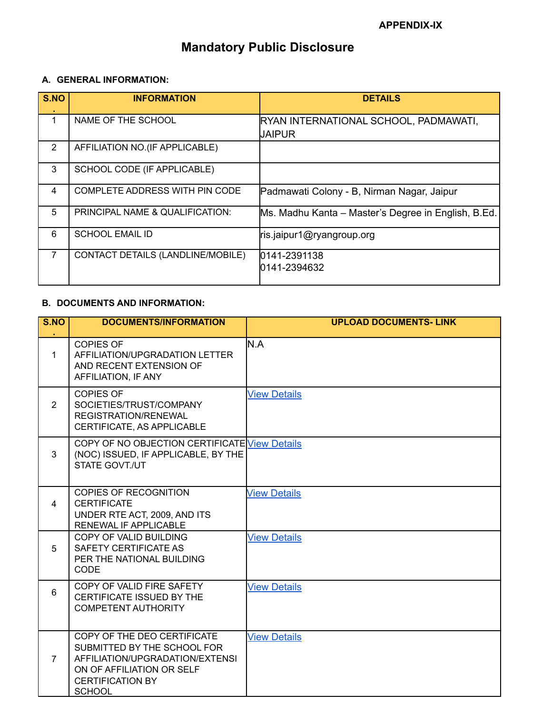# **Mandatory Public Disclosure**

### **A. GENERAL INFORMATION:**

| S.NO           | <b>INFORMATION</b>                    | <b>DETAILS</b>                                         |
|----------------|---------------------------------------|--------------------------------------------------------|
| 1              | NAME OF THE SCHOOL                    | RYAN INTERNATIONAL SCHOOL, PADMAWATI,<br><b>JAIPUR</b> |
| 2              | AFFILIATION NO. (IF APPLICABLE)       |                                                        |
| 3              | SCHOOL CODE (IF APPLICABLE)           |                                                        |
| 4              | <b>COMPLETE ADDRESS WITH PIN CODE</b> | Padmawati Colony - B, Nirman Nagar, Jaipur             |
| 5              | PRINCIPAL NAME & QUALIFICATION:       | Ms. Madhu Kanta – Master's Degree in English, B.Ed.    |
| 6              | <b>SCHOOL EMAIL ID</b>                | ris.jaipur1@ryangroup.org                              |
| $\overline{7}$ | CONTACT DETAILS (LANDLINE/MOBILE)     | 0141-2391138<br>0141-2394632                           |

### **B. DOCUMENTS AND INFORMATION:**

| S.NO           | <b>DOCUMENTS/INFORMATION</b>                                                                                                                                           | <b>UPLOAD DOCUMENTS- LINK</b> |
|----------------|------------------------------------------------------------------------------------------------------------------------------------------------------------------------|-------------------------------|
| $\mathbf{1}$   | <b>COPIES OF</b><br>AFFILIATION/UPGRADATION LETTER<br>AND RECENT EXTENSION OF<br>AFFILIATION, IF ANY                                                                   | N.A                           |
| $\overline{2}$ | <b>COPIES OF</b><br>SOCIETIES/TRUST/COMPANY<br>REGISTRATION/RENEWAL<br>CERTIFICATE, AS APPLICABLE                                                                      | <b>View Details</b>           |
| 3              | COPY OF NO OBJECTION CERTIFICATE View Details<br>(NOC) ISSUED, IF APPLICABLE, BY THE<br><b>STATE GOVT./UT</b>                                                          |                               |
| 4              | <b>COPIES OF RECOGNITION</b><br><b>CERTIFICATE</b><br>UNDER RTE ACT, 2009, AND ITS<br>RENEWAL IF APPLICABLE                                                            | <b>View Details</b>           |
| 5              | COPY OF VALID BUILDING<br>SAFETY CERTIFICATE AS<br>PER THE NATIONAL BUILDING<br>CODE                                                                                   | <b>View Details</b>           |
| 6              | COPY OF VALID FIRE SAFETY<br>CERTIFICATE ISSUED BY THE<br><b>COMPETENT AUTHORITY</b>                                                                                   | <b>View Details</b>           |
| $\overline{7}$ | COPY OF THE DEO CERTIFICATE<br>SUBMITTED BY THE SCHOOL FOR<br>AFFILIATION/UPGRADATION/EXTENSI<br>ON OF AFFILIATION OR SELF<br><b>CERTIFICATION BY</b><br><b>SCHOOL</b> | <b>View Details</b>           |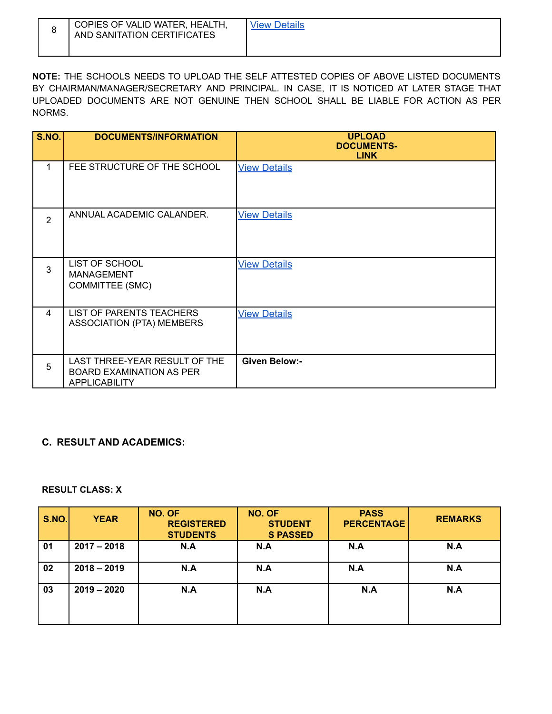| COPIES OF VALID WATER, HEALTH,<br>AND SANITATION CERTIFICATES | View Details |
|---------------------------------------------------------------|--------------|
|                                                               |              |

**NOTE:** THE SCHOOLS NEEDS TO UPLOAD THE SELF ATTESTED COPIES OF ABOVE LISTED DOCUMENTS BY CHAIRMAN/MANAGER/SECRETARY AND PRINCIPAL. IN CASE, IT IS NOTICED AT LATER STAGE THAT UPLOADED DOCUMENTS ARE NOT GENUINE THEN SCHOOL SHALL BE LIABLE FOR ACTION AS PER NORMS.

| <b>S.NO.</b>   | <b>DOCUMENTS/INFORMATION</b>                                                             | <b>UPLOAD</b><br><b>DOCUMENTS-</b><br><b>LINK</b> |
|----------------|------------------------------------------------------------------------------------------|---------------------------------------------------|
| 1              | FEE STRUCTURE OF THE SCHOOL                                                              | <b>View Details</b>                               |
| $\overline{2}$ | ANNUAL ACADEMIC CALANDER.                                                                | <b>View Details</b>                               |
| 3              | <b>LIST OF SCHOOL</b><br><b>MANAGEMENT</b><br>COMMITTEE (SMC)                            | <b>View Details</b>                               |
| 4              | <b>LIST OF PARENTS TEACHERS</b><br>ASSOCIATION (PTA) MEMBERS                             | <b>View Details</b>                               |
| 5              | LAST THREE-YEAR RESULT OF THE<br><b>BOARD EXAMINATION AS PER</b><br><b>APPLICABILITY</b> | <b>Given Below:-</b>                              |

### **C. RESULT AND ACADEMICS:**

#### **RESULT CLASS: X**

| <b>S.NO.</b> | <b>YEAR</b>   | NO. OF<br><b>REGISTERED</b><br><b>STUDENTS</b> | NO. OF<br><b>STUDENT</b><br><b>S PASSED</b> | <b>PASS</b><br><b>PERCENTAGE</b> | <b>REMARKS</b> |
|--------------|---------------|------------------------------------------------|---------------------------------------------|----------------------------------|----------------|
| 01           | $2017 - 2018$ | N.A                                            | N.A                                         | N.A                              | N.A            |
| 02           | $2018 - 2019$ | N.A                                            | N.A                                         | N.A                              | N.A            |
| 03           | $2019 - 2020$ | N.A                                            | N.A                                         | N.A                              | N.A            |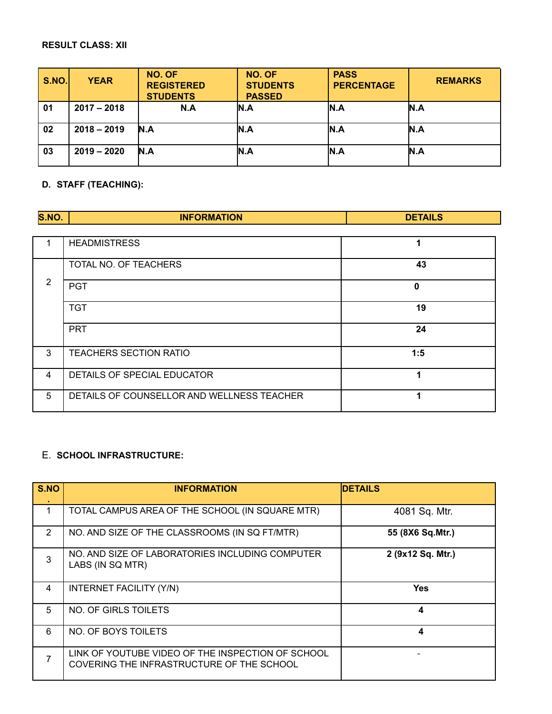## **RESULT CLASS: XII**

| <b>S.NO.</b> | <b>YEAR</b>   | NO. OF<br><b>REGISTERED</b><br><b>STUDENTS</b> | NO. OF<br><b>STUDENTS</b><br><b>PASSED</b> | <b>PASS</b><br><b>PERCENTAGE</b> | <b>REMARKS</b> |
|--------------|---------------|------------------------------------------------|--------------------------------------------|----------------------------------|----------------|
| 01           | $2017 - 2018$ | N.A                                            | N.A                                        | IN.A                             | N.A            |
| 02           | $2018 - 2019$ | <b>N.A</b>                                     | N.A                                        | IN.A                             | N.A            |
| 03           | $2019 - 2020$ | N.A                                            | N.A                                        | IN.A                             | N.A            |

# **D. STAFF (TEACHING):**

| S.NO.          | <b>INFORMATION</b>                         | <b>DETAILS</b> |
|----------------|--------------------------------------------|----------------|
|                |                                            |                |
|                | <b>HEADMISTRESS</b>                        | 1              |
|                | TOTAL NO. OF TEACHERS                      | 43             |
| 2              | <b>PGT</b>                                 | 0              |
|                | <b>TGT</b>                                 | 19             |
|                | <b>PRT</b>                                 | 24             |
| 3              | <b>TEACHERS SECTION RATIO</b>              | 1:5            |
| $\overline{4}$ | DETAILS OF SPECIAL EDUCATOR                | 4              |
| 5              | DETAILS OF COUNSELLOR AND WELLNESS TEACHER | 4              |

# E. **SCHOOL INFRASTRUCTURE:**

| S.NO           | <b>INFORMATION</b>                                                                             | <b>DETAILS</b>    |
|----------------|------------------------------------------------------------------------------------------------|-------------------|
| 1              | TOTAL CAMPUS AREA OF THE SCHOOL (IN SQUARE MTR)                                                | 4081 Sq. Mtr.     |
| $\overline{2}$ | NO. AND SIZE OF THE CLASSROOMS (IN SQ FT/MTR)                                                  | 55 (8X6 Sq.Mtr.)  |
| 3              | NO. AND SIZE OF LABORATORIES INCLUDING COMPUTER<br>LABS (IN SQ MTR)                            | 2 (9x12 Sq. Mtr.) |
| 4              | <b>INTERNET FACILITY (Y/N)</b>                                                                 | <b>Yes</b>        |
| 5              | NO. OF GIRLS TOILETS                                                                           | 4                 |
| 6              | NO. OF BOYS TOILETS                                                                            | 4                 |
| 7              | LINK OF YOUTUBE VIDEO OF THE INSPECTION OF SCHOOL<br>COVERING THE INFRASTRUCTURE OF THE SCHOOL |                   |